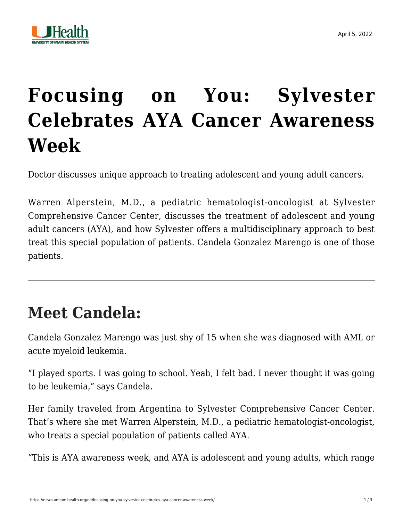

## **[Focusing on You: Sylvester](https://news.umiamihealth.org/en/focusing-on-you-sylvester-celebrates-aya-cancer-awareness-week/) [Celebrates AYA Cancer Awareness](https://news.umiamihealth.org/en/focusing-on-you-sylvester-celebrates-aya-cancer-awareness-week/) [Week](https://news.umiamihealth.org/en/focusing-on-you-sylvester-celebrates-aya-cancer-awareness-week/)**

Doctor discusses unique approach to treating adolescent and young adult cancers.

Warren Alperstein, M.D., a pediatric hematologist-oncologist at Sylvester Comprehensive Cancer Center, discusses the treatment of adolescent and young adult cancers (AYA), and how Sylvester offers a multidisciplinary approach to best treat this special population of patients. Candela Gonzalez Marengo is one of those patients.

## **Meet Candela:**

Candela Gonzalez Marengo was just shy of 15 when she was diagnosed with AML or [acute myeloid leukemia.](https://umiamihealth.org/sylvester-comprehensive-cancer-center/treatments-and-services/hematologic-(blood)-cancers-/leukemia)

"I played sports. I was going to school. Yeah, I felt bad. I never thought it was going to be leukemia," says Candela.

Her family traveled from Argentina to Sylvester Comprehensive Cancer Center. That's where she met Warren Alperstein, M.D., a pediatric hematologist-oncologist, who treats a special population of patients called AYA.

"This is AYA awareness week, and AYA is adolescent and young adults, which range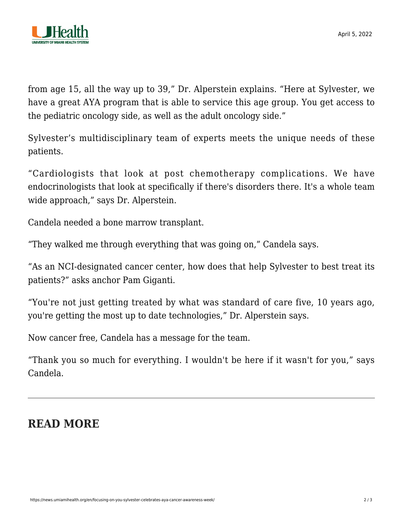

April 5, 2022

from age 15, all the way up to 39," Dr. Alperstein explains. "Here at Sylvester, we have a great AYA program that is able to service this age group. You get access to the pediatric oncology side, as well as the adult oncology side."

Sylvester's multidisciplinary team of experts meets the unique needs of these patients.

"Cardiologists that look at post chemotherapy complications. We have endocrinologists that look at specifically if there's disorders there. It's a whole team wide approach," says Dr. Alperstein.

Candela needed a bone marrow transplant.

"They walked me through everything that was going on," Candela says.

"As an NCI-designated cancer center, how does that help Sylvester to best treat its patients?" asks anchor Pam Giganti.

"You're not just getting treated by what was standard of care five, 10 years ago, you're getting the most up to date technologies," Dr. Alperstein says.

Now cancer free, Candela has a message for the team.

"Thank you so much for everything. I wouldn't be here if it wasn't for you," says Candela.

## **READ MORE**